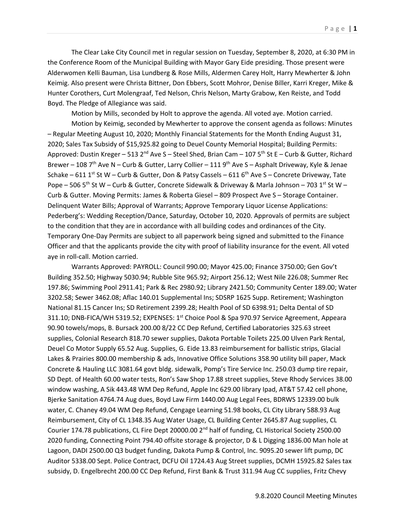The Clear Lake City Council met in regular session on Tuesday, September 8, 2020, at 6:30 PM in the Conference Room of the Municipal Building with Mayor Gary Eide presiding. Those present were Alderwomen Kelli Bauman, Lisa Lundberg & Rose Mills, Aldermen Carey Holt, Harry Mewherter & John Keimig. Also present were Christa Bittner, Don Ebbers, Scott Mohror, Denise Biller, Karri Kreger, Mike & Hunter Corothers, Curt Molengraaf, Ted Nelson, Chris Nelson, Marty Grabow, Ken Reiste, and Todd Boyd. The Pledge of Allegiance was said.

Motion by Mills, seconded by Holt to approve the agenda. All voted aye. Motion carried.

Motion by Keimig, seconded by Mewherter to approve the consent agenda as follows: Minutes – Regular Meeting August 10, 2020; Monthly Financial Statements for the Month Ending August 31, 2020; Sales Tax Subsidy of \$15,925.82 going to Deuel County Memorial Hospital; Building Permits: Approved: Dustin Kreger – 513 2<sup>nd</sup> Ave S – Steel Shed, Brian Cam – 107 5<sup>th</sup> St E – Curb & Gutter, Richard Brewer – 108 7<sup>th</sup> Ave N – Curb & Gutter, Larry Collier – 111 9<sup>th</sup> Ave S – Asphalt Driveway, Kyle & Jenae Schake – 611 1st St W – Curb & Gutter, Don & Patsy Cassels – 611 6<sup>th</sup> Ave S – Concrete Driveway, Tate Pope – 506 5<sup>th</sup> St W – Curb & Gutter, Concrete Sidewalk & Driveway & Marla Johnson – 703 1<sup>st</sup> St W – Curb & Gutter. Moving Permits: James & Roberta Giesel – 809 Prospect Ave S – Storage Container. Delinquent Water Bills; Approval of Warrants; Approve Temporary Liquor License Applications: Pederberg's: Wedding Reception/Dance, Saturday, October 10, 2020. Approvals of permits are subject to the condition that they are in accordance with all building codes and ordinances of the City. Temporary One-Day Permits are subject to all paperwork being signed and submitted to the Finance Officer and that the applicants provide the city with proof of liability insurance for the event. All voted aye in roll-call. Motion carried.

Warrants Approved: PAYROLL: Council 990.00; Mayor 425.00; Finance 3750.00; Gen Gov't Building 352.50; Highway 5030.94; Rubble Site 965.92; Airport 256.12; West Nile 226.08; Summer Rec 197.86; Swimming Pool 2911.41; Park & Rec 2980.92; Library 2421.50; Community Center 189.00; Water 3202.58; Sewer 3462.08; Aflac 140.01 Supplemental Ins; SDSRP 1625 Supp. Retirement; Washington National 81.15 Cancer Ins; SD Retirement 2399.28; Health Pool of SD 6398.91; Delta Dental of SD 311.10; DNB-FICA/WH 5319.52; EXPENSES: 1<sup>st</sup> Choice Pool & Spa 970.97 Service Agreement, Appeara 90.90 towels/mops, B. Bursack 200.00 8/22 CC Dep Refund, Certified Laboratories 325.63 street supplies, Colonial Research 818.70 sewer supplies, Dakota Portable Toilets 225.00 Ulven Park Rental, Deuel Co Motor Supply 65.52 Aug. Supplies, G. Eide 13.83 reimbursement for ballistic strips, Glacial Lakes & Prairies 800.00 membership & ads, Innovative Office Solutions 358.90 utility bill paper, Mack Concrete & Hauling LLC 3081.64 govt bldg. sidewalk, Pomp's Tire Service Inc. 250.03 dump tire repair, SD Dept. of Health 60.00 water tests, Ron's Saw Shop 17.88 street supplies, Steve Rhody Services 38.00 window washing, A Sik 443.48 WM Dep Refund, Apple Inc 629.00 library Ipad, AT&T 57.42 cell phone, Bjerke Sanitation 4764.74 Aug dues, Boyd Law Firm 1440.00 Aug Legal Fees, BDRWS 12339.00 bulk water, C. Chaney 49.04 WM Dep Refund, Cengage Learning 51.98 books, CL City Library 588.93 Aug Reimbursement, City of CL 1348.35 Aug Water Usage, CL Building Center 2645.87 Aug supplies, CL Courier 174.78 publications, CL Fire Dept 20000.00  $2<sup>nd</sup>$  half of funding, CL Historical Society 2500.00 2020 funding, Connecting Point 794.40 offsite storage & projector, D & L Digging 1836.00 Man hole at Lagoon, DADI 2500.00 Q3 budget funding, Dakota Pump & Control, Inc. 9095.20 sewer lift pump, DC Auditor 5338.00 Sept. Police Contract, DCFU Oil 1724.43 Aug Street supplies, DCMH 15925.82 Sales tax subsidy, D. Engelbrecht 200.00 CC Dep Refund, First Bank & Trust 311.94 Aug CC supplies, Fritz Chevy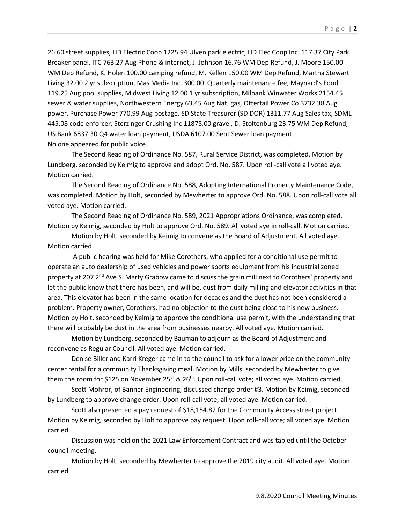26.60 street supplies, HD Electric Coop 1225.94 Ulven park electric, HD Elec Coop Inc. 117.37 City Park Breaker panel, ITC 763.27 Aug Phone & internet, J. Johnson 16.76 WM Dep Refund, J. Moore 150.00 WM Dep Refund, K. Holen 100.00 camping refund, M. Kellen 150.00 WM Dep Refund, Martha Stewart Living 32.00 2 yr subscription, Mas Media Inc. 300.00 Quarterly maintenance fee, Maynard's Food 119.25 Aug pool supplies, Midwest Living 12.00 1 yr subscription, Milbank Winwater Works 2154.45 sewer & water supplies, Northwestern Energy 63.45 Aug Nat. gas, Ottertail Power Co 3732.38 Aug power, Purchase Power 770.99 Aug postage, SD State Treasurer (SD DOR) 1311.77 Aug Sales tax, SDML 445.08 code enforcer, Sterzinger Crushing Inc 11875.00 gravel, D. Stoltenburg 23.75 WM Dep Refund, US Bank 6837.30 Q4 water loan payment, USDA 6107.00 Sept Sewer loan payment. No one appeared for public voice.

The Second Reading of Ordinance No. 587, Rural Service District, was completed. Motion by Lundberg, seconded by Keimig to approve and adopt Ord. No. 587. Upon roll-call vote all voted aye. Motion carried.

The Second Reading of Ordinance No. 588, Adopting International Property Maintenance Code, was completed. Motion by Holt, seconded by Mewherter to approve Ord. No. 588. Upon roll-call vote all voted aye. Motion carried.

The Second Reading of Ordinance No. 589, 2021 Appropriations Ordinance, was completed. Motion by Keimig, seconded by Holt to approve Ord. No. 589. All voted aye in roll-call. Motion carried.

Motion by Holt, seconded by Keimig to convene as the Board of Adjustment. All voted aye. Motion carried.

A public hearing was held for Mike Corothers, who applied for a conditional use permit to operate an auto dealership of used vehicles and power sports equipment from his industrial zoned property at 207  $2^{nd}$  Ave S. Marty Grabow came to discuss the grain mill next to Corothers' property and let the public know that there has been, and will be, dust from daily milling and elevator activities in that area. This elevator has been in the same location for decades and the dust has not been considered a problem. Property owner, Corothers, had no objection to the dust being close to his new business. Motion by Holt, seconded by Keimig to approve the conditional use permit, with the understanding that there will probably be dust in the area from businesses nearby. All voted aye. Motion carried.

Motion by Lundberg, seconded by Bauman to adjourn as the Board of Adjustment and reconvene as Regular Council. All voted aye. Motion carried.

Denise Biller and Karri Kreger came in to the council to ask for a lower price on the community center rental for a community Thanksgiving meal. Motion by Mills, seconded by Mewherter to give them the room for \$125 on November 25<sup>th</sup> & 26<sup>th</sup>. Upon roll-call vote; all voted aye. Motion carried.

Scott Mohror, of Banner Engineering, discussed change order #3. Motion by Keimig, seconded by Lundberg to approve change order. Upon roll-call vote; all voted aye. Motion carried.

Scott also presented a pay request of \$18,154.82 for the Community Access street project. Motion by Keimig, seconded by Holt to approve pay request. Upon roll-call vote; all voted aye. Motion carried.

Discussion was held on the 2021 Law Enforcement Contract and was tabled until the October council meeting.

Motion by Holt, seconded by Mewherter to approve the 2019 city audit. All voted aye. Motion carried.